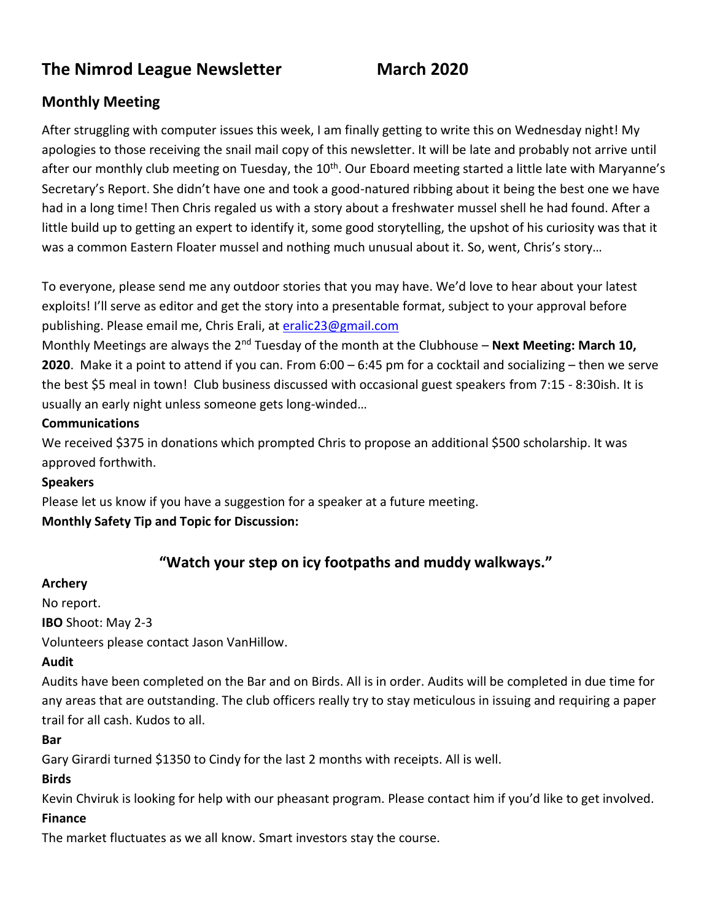# **The Nimrod League Newsletter March 2020**

# **Monthly Meeting**

After struggling with computer issues this week, I am finally getting to write this on Wednesday night! My apologies to those receiving the snail mail copy of this newsletter. It will be late and probably not arrive until after our monthly club meeting on Tuesday, the 10<sup>th</sup>. Our Eboard meeting started a little late with Maryanne's Secretary's Report. She didn't have one and took a good-natured ribbing about it being the best one we have had in a long time! Then Chris regaled us with a story about a freshwater mussel shell he had found. After a little build up to getting an expert to identify it, some good storytelling, the upshot of his curiosity was that it was a common Eastern Floater mussel and nothing much unusual about it. So, went, Chris's story…

To everyone, please send me any outdoor stories that you may have. We'd love to hear about your latest exploits! I'll serve as editor and get the story into a presentable format, subject to your approval before publishing. Please email me, Chris Erali, at [eralic23@gmail.com](mailto:eralic23@gmail.com)

Monthly Meetings are always the 2<sup>nd</sup> Tuesday of the month at the Clubhouse – **Next Meeting: March 10, 2020**. Make it a point to attend if you can. From 6:00 – 6:45 pm for a cocktail and socializing – then we serve the best \$5 meal in town! Club business discussed with occasional guest speakers from 7:15 - 8:30ish. It is usually an early night unless someone gets long-winded…

#### **Communications**

We received \$375 in donations which prompted Chris to propose an additional \$500 scholarship. It was approved forthwith.

#### **Speakers**

Please let us know if you have a suggestion for a speaker at a future meeting.

#### **Monthly Safety Tip and Topic for Discussion:**

# **"Watch your step on icy footpaths and muddy walkways."**

#### **Archery**

No report. **IBO** Shoot: May 2-3 Volunteers please contact Jason VanHillow.

#### **Audit**

Audits have been completed on the Bar and on Birds. All is in order. Audits will be completed in due time for any areas that are outstanding. The club officers really try to stay meticulous in issuing and requiring a paper trail for all cash. Kudos to all.

#### **Bar**

Gary Girardi turned \$1350 to Cindy for the last 2 months with receipts. All is well.

#### **Birds**

Kevin Chviruk is looking for help with our pheasant program. Please contact him if you'd like to get involved.

#### **Finance**

The market fluctuates as we all know. Smart investors stay the course.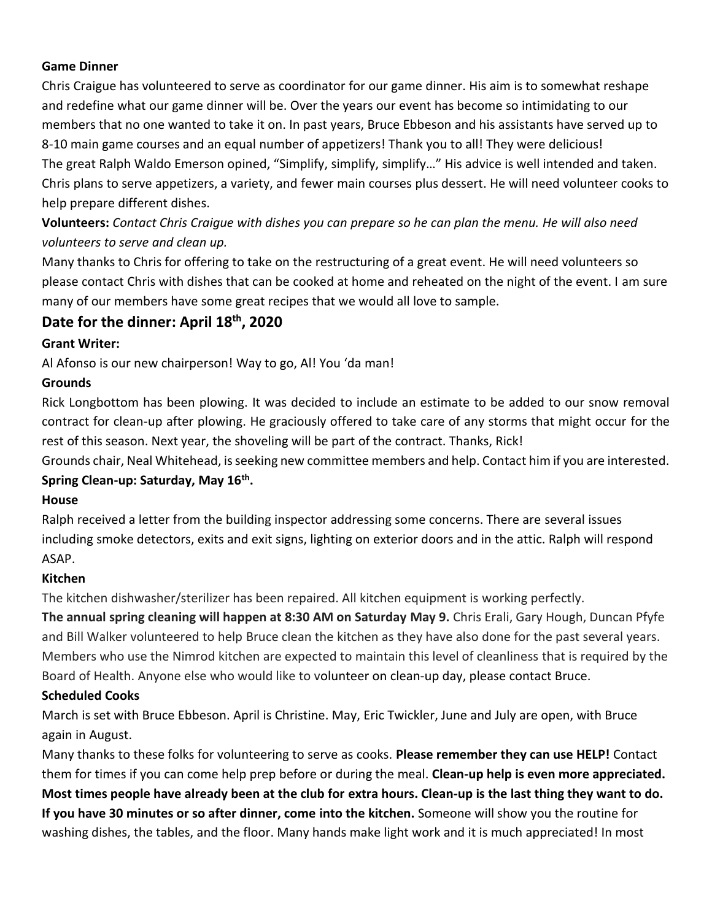#### **Game Dinner**

Chris Craigue has volunteered to serve as coordinator for our game dinner. His aim is to somewhat reshape and redefine what our game dinner will be. Over the years our event has become so intimidating to our members that no one wanted to take it on. In past years, Bruce Ebbeson and his assistants have served up to 8-10 main game courses and an equal number of appetizers! Thank you to all! They were delicious! The great Ralph Waldo Emerson opined, "Simplify, simplify, simplify…" His advice is well intended and taken. Chris plans to serve appetizers, a variety, and fewer main courses plus dessert. He will need volunteer cooks to help prepare different dishes.

**Volunteers:** *Contact Chris Craigue with dishes you can prepare so he can plan the menu. He will also need volunteers to serve and clean up.*

Many thanks to Chris for offering to take on the restructuring of a great event. He will need volunteers so please contact Chris with dishes that can be cooked at home and reheated on the night of the event. I am sure many of our members have some great recipes that we would all love to sample.

# **Date for the dinner: April 18th, 2020**

#### **Grant Writer:**

Al Afonso is our new chairperson! Way to go, Al! You 'da man!

#### **Grounds**

Rick Longbottom has been plowing. It was decided to include an estimate to be added to our snow removal contract for clean-up after plowing. He graciously offered to take care of any storms that might occur for the rest of this season. Next year, the shoveling will be part of the contract. Thanks, Rick!

Grounds chair, Neal Whitehead, is seeking new committee members and help. Contact him if you are interested. **Spring Clean-up: Saturday, May 16th .**

#### **House**

Ralph received a letter from the building inspector addressing some concerns. There are several issues including smoke detectors, exits and exit signs, lighting on exterior doors and in the attic. Ralph will respond ASAP.

#### **Kitchen**

The kitchen dishwasher/sterilizer has been repaired. All kitchen equipment is working perfectly.

**The annual spring cleaning will happen at 8:30 AM on Saturday May 9.** Chris Erali, Gary Hough, Duncan Pfyfe and Bill Walker volunteered to help Bruce clean the kitchen as they have also done for the past several years. Members who use the Nimrod kitchen are expected to maintain this level of cleanliness that is required by the Board of Health. Anyone else who would like to volunteer on clean-up day, please contact Bruce.

#### **Scheduled Cooks**

March is set with Bruce Ebbeson. April is Christine. May, Eric Twickler, June and July are open, with Bruce again in August.

Many thanks to these folks for volunteering to serve as cooks. **Please remember they can use HELP!** Contact them for times if you can come help prep before or during the meal. **Clean-up help is even more appreciated. Most times people have already been at the club for extra hours. Clean-up is the last thing they want to do. If you have 30 minutes or so after dinner, come into the kitchen.** Someone will show you the routine for washing dishes, the tables, and the floor. Many hands make light work and it is much appreciated! In most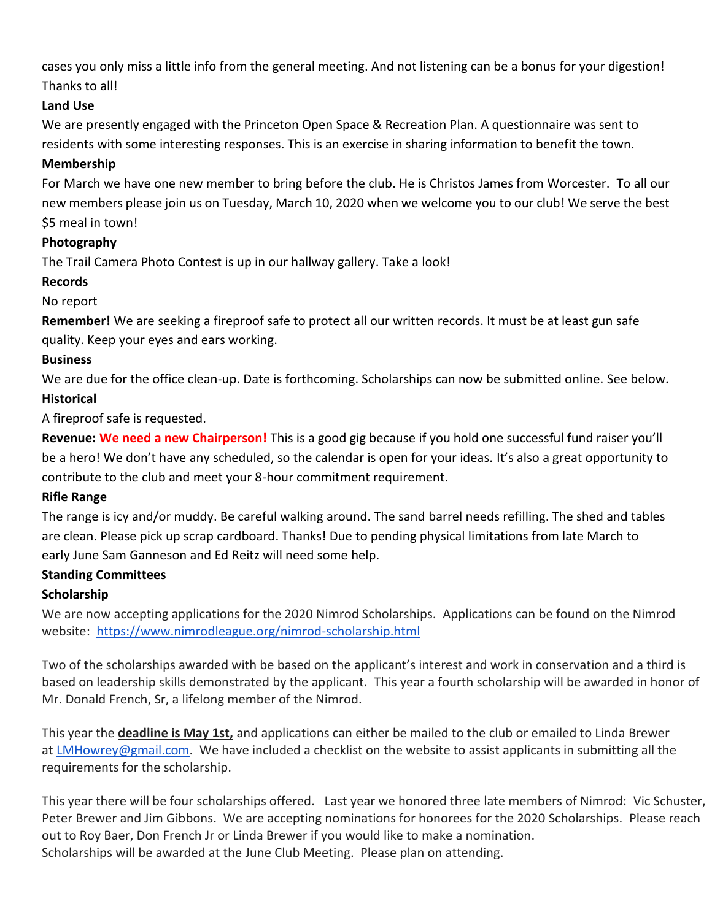cases you only miss a little info from the general meeting. And not listening can be a bonus for your digestion! Thanks to all!

## **Land Use**

We are presently engaged with the Princeton Open Space & Recreation Plan. A questionnaire was sent to residents with some interesting responses. This is an exercise in sharing information to benefit the town.

## **Membership**

For March we have one new member to bring before the club. He is Christos James from Worcester. To all our new members please join us on Tuesday, March 10, 2020 when we welcome you to our club! We serve the best \$5 meal in town!

#### **Photography**

The Trail Camera Photo Contest is up in our hallway gallery. Take a look!

#### **Records**

# No report

**Remember!** We are seeking a fireproof safe to protect all our written records. It must be at least gun safe quality. Keep your eyes and ears working.

# **Business**

We are due for the office clean-up. Date is forthcoming. Scholarships can now be submitted online. See below. **Historical** 

A fireproof safe is requested.

**Revenue: We need a new Chairperson!** This is a good gig because if you hold one successful fund raiser you'll be a hero! We don't have any scheduled, so the calendar is open for your ideas. It's also a great opportunity to contribute to the club and meet your 8-hour commitment requirement.

#### **Rifle Range**

The range is icy and/or muddy. Be careful walking around. The sand barrel needs refilling. The shed and tables are clean. Please pick up scrap cardboard. Thanks! Due to pending physical limitations from late March to early June Sam Ganneson and Ed Reitz will need some help.

#### **Standing Committees**

# **Scholarship**

We are now accepting applications for the 2020 Nimrod Scholarships. Applications can be found on the Nimrod website: <https://www.nimrodleague.org/nimrod-scholarship.html>

Two of the scholarships awarded with be based on the applicant's interest and work in conservation and a third is based on leadership skills demonstrated by the applicant. This year a fourth scholarship will be awarded in honor of Mr. Donald French, Sr, a lifelong member of the Nimrod.

This year the **deadline is May 1st,** and applications can either be mailed to the club or emailed to Linda Brewer at [LMHowrey@gmail.com.](mailto:LMHowrey@gmail.com) We have included a checklist on the website to assist applicants in submitting all the requirements for the scholarship.

This year there will be four scholarships offered. Last year we honored three late members of Nimrod: Vic Schuster, Peter Brewer and Jim Gibbons. We are accepting nominations for honorees for the 2020 Scholarships. Please reach out to Roy Baer, Don French Jr or Linda Brewer if you would like to make a nomination. Scholarships will be awarded at the June Club Meeting. Please plan on attending.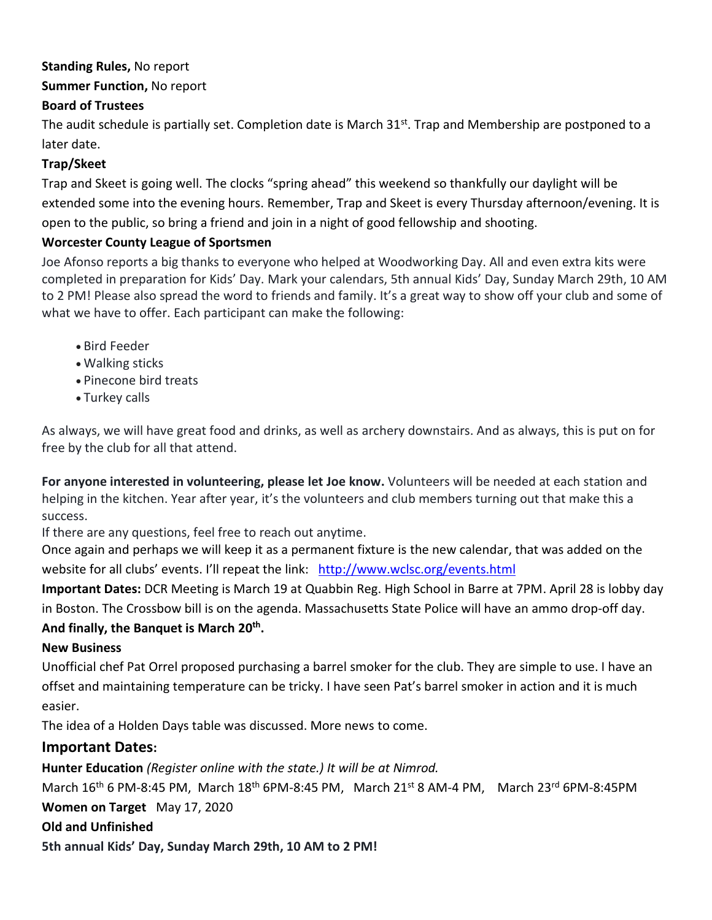## **Standing Rules,** No report

# **Summer Function,** No report

# **Board of Trustees**

The audit schedule is partially set. Completion date is March 31<sup>st</sup>. Trap and Membership are postponed to a later date.

## **Trap/Skeet**

Trap and Skeet is going well. The clocks "spring ahead" this weekend so thankfully our daylight will be extended some into the evening hours. Remember, Trap and Skeet is every Thursday afternoon/evening. It is open to the public, so bring a friend and join in a night of good fellowship and shooting.

#### **Worcester County League of Sportsmen**

Joe Afonso reports a big thanks to everyone who helped at Woodworking Day. All and even extra kits were completed in preparation for Kids' Day. Mark your calendars, 5th annual Kids' Day, Sunday March 29th, 10 AM to 2 PM! Please also spread the word to friends and family. It's a great way to show off your club and some of what we have to offer. Each participant can make the following:

- Bird Feeder
- Walking sticks
- Pinecone bird treats
- Turkey calls

As always, we will have great food and drinks, as well as archery downstairs. And as always, this is put on for free by the club for all that attend.

**For anyone interested in volunteering, please let Joe know.** Volunteers will be needed at each station and helping in the kitchen. Year after year, it's the volunteers and club members turning out that make this a success.

If there are any questions, feel free to reach out anytime.

Once again and perhaps we will keep it as a permanent fixture is the new calendar, that was added on the website for all clubs' events. I'll repeat the link: <http://www.wclsc.org/events.html>

**Important Dates:** DCR Meeting is March 19 at Quabbin Reg. High School in Barre at 7PM. April 28 is lobby day in Boston. The Crossbow bill is on the agenda. Massachusetts State Police will have an ammo drop-off day.

#### **And finally, the Banquet is March 20 th .**

#### **New Business**

Unofficial chef Pat Orrel proposed purchasing a barrel smoker for the club. They are simple to use. I have an offset and maintaining temperature can be tricky. I have seen Pat's barrel smoker in action and it is much easier.

The idea of a Holden Days table was discussed. More news to come.

# **Important Dates:**

**Hunter Education** *(Register online with the state.) It will be at Nimrod.*

March  $16^{th}$  6 PM-8:45 PM, March  $18^{th}$  6PM-8:45 PM, March  $21^{st}$  8 AM-4 PM, March  $23^{rd}$  6PM-8:45PM

**Women on Target** May 17, 2020

#### **Old and Unfinished**

**5th annual Kids' Day, Sunday March 29th, 10 AM to 2 PM!**